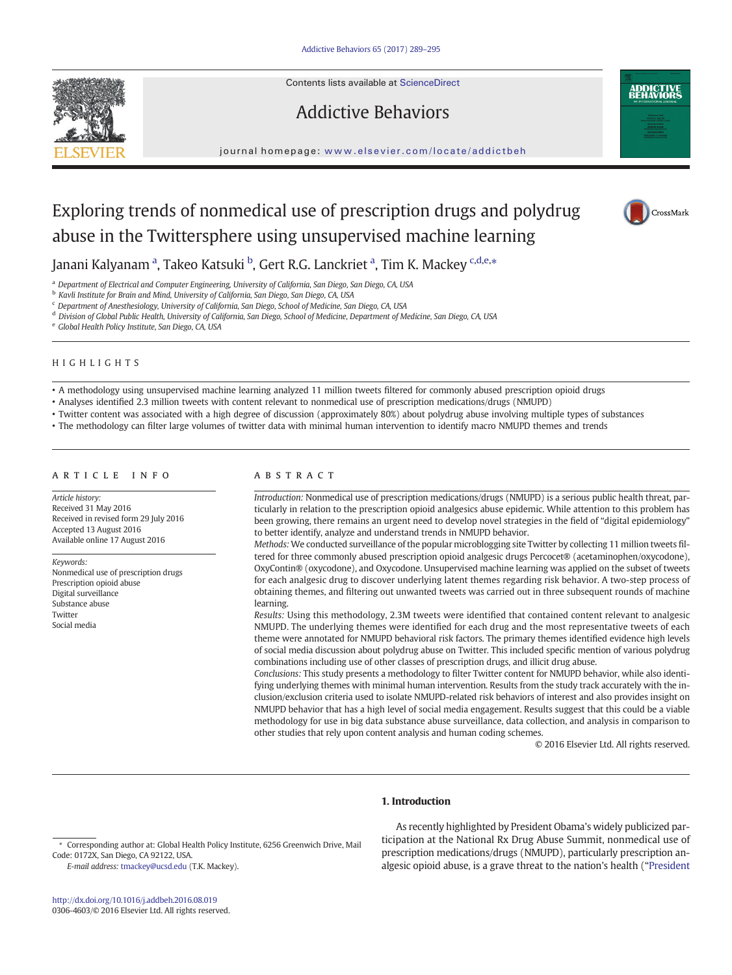Contents lists available at [ScienceDirect](http://www.sciencedirect.com/science/journal/03064603)



journal homepage: <www.elsevier.com/locate/addictbeh>

# Exploring trends of nonmedical use of prescription drugs and polydrug abuse in the Twittersphere using unsupervised machine learning



**ADDICTIVE**<br>REHAVIORS

Janani Kalyanam <sup>a</sup>, Takeo Katsuki <sup>b</sup>, Gert R.G. Lanckriet <sup>a</sup>, Tim K. Mackey <sup>c,d,e,</sup>\*

<sup>a</sup> Department of Electrical and Computer Engineering, University of California, San Diego, San Diego, CA, USA

<sup>b</sup> Kavli Institute for Brain and Mind, University of California, San Diego, San Diego, CA, USA

<sup>c</sup> Department of Anesthesiology, University of California, San Diego, School of Medicine, San Diego, CA, USA

d Division of Global Public Health, University of California, San Diego, School of Medicine, Department of Medicine, San Diego, CA, USA

<sup>e</sup> Global Health Policy Institute, San Diego, CA, USA

### HIGHLIGHTS

• A methodology using unsupervised machine learning analyzed 11 million tweets filtered for commonly abused prescription opioid drugs

• Analyses identified 2.3 million tweets with content relevant to nonmedical use of prescription medications/drugs (NMUPD)

• Twitter content was associated with a high degree of discussion (approximately 80%) about polydrug abuse involving multiple types of substances

• The methodology can filter large volumes of twitter data with minimal human intervention to identify macro NMUPD themes and trends

# article info abstract

Article history: Received 31 May 2016 Received in revised form 29 July 2016 Accepted 13 August 2016 Available online 17 August 2016

Keywords: Nonmedical use of prescription drugs Prescription opioid abuse Digital surveillance Substance abuse Twitter Social media

Introduction: Nonmedical use of prescription medications/drugs (NMUPD) is a serious public health threat, particularly in relation to the prescription opioid analgesics abuse epidemic. While attention to this problem has been growing, there remains an urgent need to develop novel strategies in the field of "digital epidemiology" to better identify, analyze and understand trends in NMUPD behavior.

Methods: We conducted surveillance of the popular microblogging site Twitter by collecting 11 million tweets filtered for three commonly abused prescription opioid analgesic drugs Percocet® (acetaminophen/oxycodone), OxyContin® (oxycodone), and Oxycodone. Unsupervised machine learning was applied on the subset of tweets for each analgesic drug to discover underlying latent themes regarding risk behavior. A two-step process of obtaining themes, and filtering out unwanted tweets was carried out in three subsequent rounds of machine learning.

Results: Using this methodology, 2.3M tweets were identified that contained content relevant to analgesic NMUPD. The underlying themes were identified for each drug and the most representative tweets of each theme were annotated for NMUPD behavioral risk factors. The primary themes identified evidence high levels of social media discussion about polydrug abuse on Twitter. This included specific mention of various polydrug combinations including use of other classes of prescription drugs, and illicit drug abuse.

Conclusions: This study presents a methodology to filter Twitter content for NMUPD behavior, while also identifying underlying themes with minimal human intervention. Results from the study track accurately with the inclusion/exclusion criteria used to isolate NMUPD-related risk behaviors of interest and also provides insight on NMUPD behavior that has a high level of social media engagement. Results suggest that this could be a viable methodology for use in big data substance abuse surveillance, data collection, and analysis in comparison to other studies that rely upon content analysis and human coding schemes.

© 2016 Elsevier Ltd. All rights reserved.

# 1. Introduction

# ⁎ Corresponding author at: Global Health Policy Institute, 6256 Greenwich Drive, Mail Code: 0172X, San Diego, CA 92122, USA.

E-mail address: [tmackey@ucsd.edu](mailto:tmackey@ucsd.edu) (T.K. Mackey).

As recently highlighted by President Obama's widely publicized participation at the National Rx Drug Abuse Summit, nonmedical use of prescription medications/drugs (NMUPD), particularly prescription analgesic opioid abuse, is a grave threat to the nation's health ("[President](#page-5-0)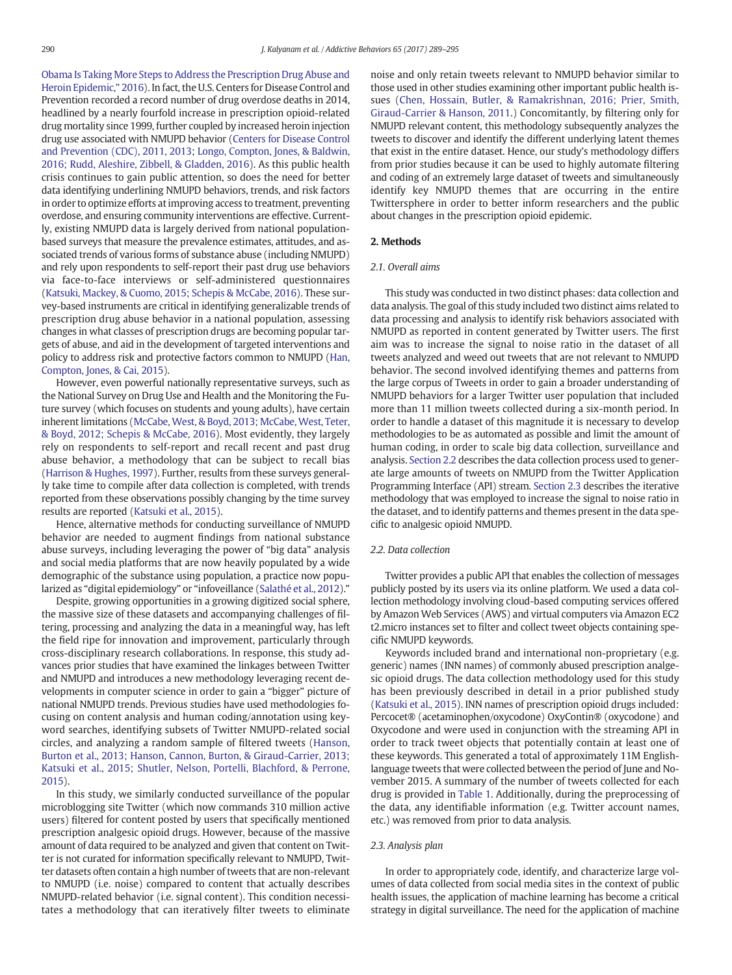[Obama Is Taking More Steps to Address the Prescription Drug Abuse and](#page-5-0) [Heroin Epidemic,](#page-5-0)" 2016). In fact, the U.S. Centers for Disease Control and Prevention recorded a record number of drug overdose deaths in 2014, headlined by a nearly fourfold increase in prescription opioid-related drug mortality since 1999, further coupled by increased heroin injection drug use associated with NMUPD behavior ([Centers for Disease Control](#page-5-0) [and Prevention \(CDC\), 2011, 2013;](#page-5-0) [Longo, Compton, Jones, & Baldwin,](#page-5-0) [2016; Rudd, Aleshire, Zibbell, & Gladden, 2016\)](#page-5-0). As this public health crisis continues to gain public attention, so does the need for better data identifying underlining NMUPD behaviors, trends, and risk factors in order to optimize efforts at improving access to treatment, preventing overdose, and ensuring community interventions are effective. Currently, existing NMUPD data is largely derived from national populationbased surveys that measure the prevalence estimates, attitudes, and associated trends of various forms of substance abuse (including NMUPD) and rely upon respondents to self-report their past drug use behaviors via face-to-face interviews or self-administered questionnaires [\(Katsuki, Mackey, & Cuomo, 2015; Schepis & McCabe, 2016](#page-5-0)). These survey-based instruments are critical in identifying generalizable trends of prescription drug abuse behavior in a national population, assessing changes in what classes of prescription drugs are becoming popular targets of abuse, and aid in the development of targeted interventions and policy to address risk and protective factors common to NMUPD [\(Han,](#page-5-0) [Compton, Jones, & Cai, 2015\)](#page-5-0).

However, even powerful nationally representative surveys, such as the National Survey on Drug Use and Health and the Monitoring the Future survey (which focuses on students and young adults), have certain inherent limitations ([McCabe, West, & Boyd, 2013; McCabe, West, Teter,](#page-5-0) [& Boyd, 2012; Schepis & McCabe, 2016](#page-5-0)). Most evidently, they largely rely on respondents to self-report and recall recent and past drug abuse behavior, a methodology that can be subject to recall bias [\(Harrison & Hughes, 1997\)](#page-5-0). Further, results from these surveys generally take time to compile after data collection is completed, with trends reported from these observations possibly changing by the time survey results are reported [\(Katsuki et al., 2015](#page-5-0)).

Hence, alternative methods for conducting surveillance of NMUPD behavior are needed to augment findings from national substance abuse surveys, including leveraging the power of "big data" analysis and social media platforms that are now heavily populated by a wide demographic of the substance using population, a practice now popularized as "digital epidemiology" or "infoveillance [\(Salathé et al., 2012](#page-6-0))."

Despite, growing opportunities in a growing digitized social sphere, the massive size of these datasets and accompanying challenges of filtering, processing and analyzing the data in a meaningful way, has left the field ripe for innovation and improvement, particularly through cross-disciplinary research collaborations. In response, this study advances prior studies that have examined the linkages between Twitter and NMUPD and introduces a new methodology leveraging recent developments in computer science in order to gain a "bigger" picture of national NMUPD trends. Previous studies have used methodologies focusing on content analysis and human coding/annotation using keyword searches, identifying subsets of Twitter NMUPD-related social circles, and analyzing a random sample of filtered tweets [\(Hanson,](#page-5-0) [Burton et al., 2013; Hanson, Cannon, Burton, & Giraud-Carrier, 2013;](#page-5-0) [Katsuki et al., 2015; Shutler, Nelson, Portelli, Blachford, & Perrone,](#page-5-0) [2015\)](#page-5-0).

In this study, we similarly conducted surveillance of the popular microblogging site Twitter (which now commands 310 million active users) filtered for content posted by users that specifically mentioned prescription analgesic opioid drugs. However, because of the massive amount of data required to be analyzed and given that content on Twitter is not curated for information specifically relevant to NMUPD, Twitter datasets often contain a high number of tweets that are non-relevant to NMUPD (i.e. noise) compared to content that actually describes NMUPD-related behavior (i.e. signal content). This condition necessitates a methodology that can iteratively filter tweets to eliminate noise and only retain tweets relevant to NMUPD behavior similar to those used in other studies examining other important public health issues [\(Chen, Hossain, Butler, & Ramakrishnan, 2016; Prier, Smith,](#page-5-0) [Giraud-Carrier & Hanson, 2011.](#page-5-0)) Concomitantly, by filtering only for NMUPD relevant content, this methodology subsequently analyzes the tweets to discover and identify the different underlying latent themes that exist in the entire dataset. Hence, our study's methodology differs from prior studies because it can be used to highly automate filtering and coding of an extremely large dataset of tweets and simultaneously identify key NMUPD themes that are occurring in the entire Twittersphere in order to better inform researchers and the public about changes in the prescription opioid epidemic.

# 2. Methods

### 2.1. Overall aims

This study was conducted in two distinct phases: data collection and data analysis. The goal of this study included two distinct aims related to data processing and analysis to identify risk behaviors associated with NMUPD as reported in content generated by Twitter users. The first aim was to increase the signal to noise ratio in the dataset of all tweets analyzed and weed out tweets that are not relevant to NMUPD behavior. The second involved identifying themes and patterns from the large corpus of Tweets in order to gain a broader understanding of NMUPD behaviors for a larger Twitter user population that included more than 11 million tweets collected during a six-month period. In order to handle a dataset of this magnitude it is necessary to develop methodologies to be as automated as possible and limit the amount of human coding, in order to scale big data collection, surveillance and analysis. Section 2.2 describes the data collection process used to generate large amounts of tweets on NMUPD from the Twitter Application Programming Interface (API) stream. Section 2.3 describes the iterative methodology that was employed to increase the signal to noise ratio in the dataset, and to identify patterns and themes present in the data specific to analgesic opioid NMUPD.

## 2.2. Data collection

Twitter provides a public API that enables the collection of messages publicly posted by its users via its online platform. We used a data collection methodology involving cloud-based computing services offered by Amazon Web Services (AWS) and virtual computers via Amazon EC2 t2.micro instances set to filter and collect tweet objects containing specific NMUPD keywords.

Keywords included brand and international non-proprietary (e.g. generic) names (INN names) of commonly abused prescription analgesic opioid drugs. The data collection methodology used for this study has been previously described in detail in a prior published study [\(Katsuki et al., 2015\)](#page-5-0). INN names of prescription opioid drugs included: Percocet® (acetaminophen/oxycodone) OxyContin® (oxycodone) and Oxycodone and were used in conjunction with the streaming API in order to track tweet objects that potentially contain at least one of these keywords. This generated a total of approximately 11M Englishlanguage tweets that were collected between the period of June and November 2015. A summary of the number of tweets collected for each drug is provided in [Table 1.](#page-2-0) Additionally, during the preprocessing of the data, any identifiable information (e.g. Twitter account names, etc.) was removed from prior to data analysis.

#### 2.3. Analysis plan

In order to appropriately code, identify, and characterize large volumes of data collected from social media sites in the context of public health issues, the application of machine learning has become a critical strategy in digital surveillance. The need for the application of machine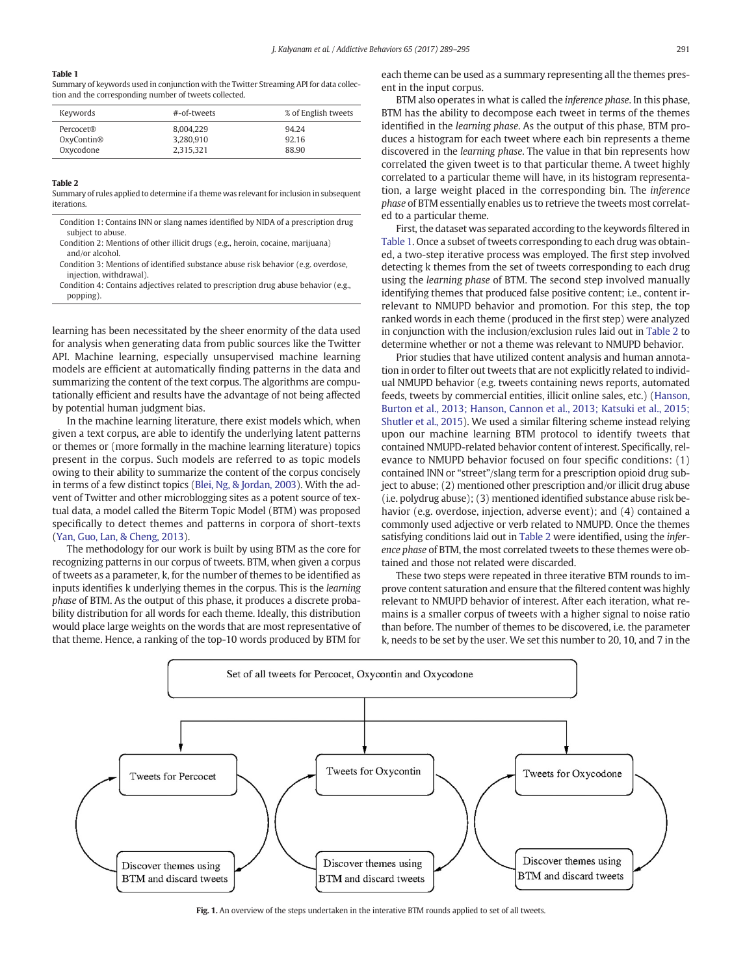<span id="page-2-0"></span>Summary of keywords used in conjunction with the Twitter Streaming API for data collection and the corresponding number of tweets collected.

| Keywords               | #-of-tweets | % of English tweets |
|------------------------|-------------|---------------------|
| Percocet®              | 8.004.229   | 94.24               |
| OxyContin <sup>®</sup> | 3,280,910   | 92.16               |
| Oxycodone              | 2.315.321   | 88.90               |

#### Table 2

Summary of rules applied to determine if a theme was relevant for inclusion in subsequent iterations.

- Condition 1: Contains INN or slang names identified by NIDA of a prescription drug subject to abuse.
- Condition 2: Mentions of other illicit drugs (e.g., heroin, cocaine, marijuana) and/or alcohol.
- Condition 3: Mentions of identified substance abuse risk behavior (e.g. overdose, injection, withdrawal).
- Condition 4: Contains adjectives related to prescription drug abuse behavior (e.g., popping).

learning has been necessitated by the sheer enormity of the data used for analysis when generating data from public sources like the Twitter API. Machine learning, especially unsupervised machine learning models are efficient at automatically finding patterns in the data and summarizing the content of the text corpus. The algorithms are computationally efficient and results have the advantage of not being affected by potential human judgment bias.

In the machine learning literature, there exist models which, when given a text corpus, are able to identify the underlying latent patterns or themes or (more formally in the machine learning literature) topics present in the corpus. Such models are referred to as topic models owing to their ability to summarize the content of the corpus concisely in terms of a few distinct topics ([Blei, Ng, & Jordan, 2003](#page-5-0)). With the advent of Twitter and other microblogging sites as a potent source of textual data, a model called the Biterm Topic Model (BTM) was proposed specifically to detect themes and patterns in corpora of short-texts [\(Yan, Guo, Lan, & Cheng, 2013](#page-6-0)).

The methodology for our work is built by using BTM as the core for recognizing patterns in our corpus of tweets. BTM, when given a corpus of tweets as a parameter, k, for the number of themes to be identified as inputs identifies k underlying themes in the corpus. This is the learning phase of BTM. As the output of this phase, it produces a discrete probability distribution for all words for each theme. Ideally, this distribution would place large weights on the words that are most representative of that theme. Hence, a ranking of the top-10 words produced by BTM for each theme can be used as a summary representing all the themes present in the input corpus.

BTM also operates in what is called the inference phase. In this phase, BTM has the ability to decompose each tweet in terms of the themes identified in the learning phase. As the output of this phase, BTM produces a histogram for each tweet where each bin represents a theme discovered in the learning phase. The value in that bin represents how correlated the given tweet is to that particular theme. A tweet highly correlated to a particular theme will have, in its histogram representation, a large weight placed in the corresponding bin. The inference phase of BTM essentially enables us to retrieve the tweets most correlated to a particular theme.

First, the dataset was separated according to the keywords filtered in Table 1. Once a subset of tweets corresponding to each drug was obtained, a two-step iterative process was employed. The first step involved detecting k themes from the set of tweets corresponding to each drug using the learning phase of BTM. The second step involved manually identifying themes that produced false positive content; i.e., content irrelevant to NMUPD behavior and promotion. For this step, the top ranked words in each theme (produced in the first step) were analyzed in conjunction with the inclusion/exclusion rules laid out in Table 2 to determine whether or not a theme was relevant to NMUPD behavior.

Prior studies that have utilized content analysis and human annotation in order to filter out tweets that are not explicitly related to individual NMUPD behavior (e.g. tweets containing news reports, automated feeds, tweets by commercial entities, illicit online sales, etc.) ([Hanson,](#page-5-0) [Burton et al., 2013; Hanson, Cannon et al., 2013; Katsuki et al., 2015;](#page-5-0) [Shutler et al., 2015\)](#page-5-0). We used a similar filtering scheme instead relying upon our machine learning BTM protocol to identify tweets that contained NMUPD-related behavior content of interest. Specifically, relevance to NMUPD behavior focused on four specific conditions: (1) contained INN or "street"/slang term for a prescription opioid drug subject to abuse; (2) mentioned other prescription and/or illicit drug abuse (i.e. polydrug abuse); (3) mentioned identified substance abuse risk behavior (e.g. overdose, injection, adverse event); and (4) contained a commonly used adjective or verb related to NMUPD. Once the themes satisfying conditions laid out in Table 2 were identified, using the inference phase of BTM, the most correlated tweets to these themes were obtained and those not related were discarded.

These two steps were repeated in three iterative BTM rounds to improve content saturation and ensure that the filtered content was highly relevant to NMUPD behavior of interest. After each iteration, what remains is a smaller corpus of tweets with a higher signal to noise ratio than before. The number of themes to be discovered, i.e. the parameter k, needs to be set by the user. We set this number to 20, 10, and 7 in the



Fig. 1. An overview of the steps undertaken in the interative BTM rounds applied to set of all tweets.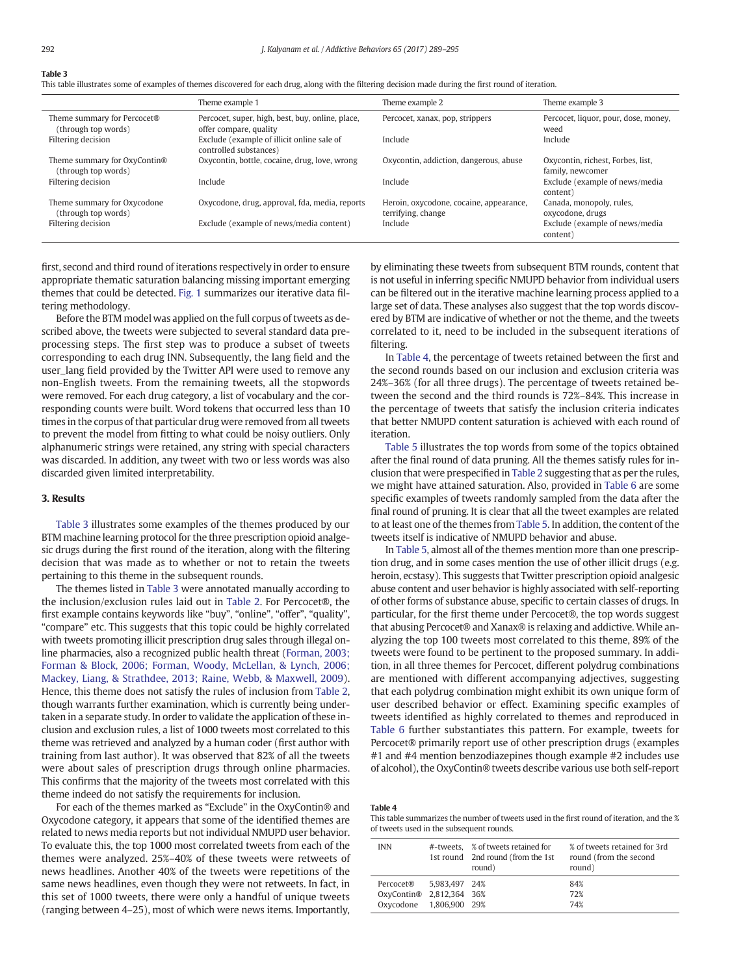This table illustrates some of examples of themes discovered for each drug, along with the filtering decision made during the first round of iteration.

| Theme example 1                                                            | Theme example 2                                               | Theme example 3                                       |
|----------------------------------------------------------------------------|---------------------------------------------------------------|-------------------------------------------------------|
| Percocet, super, high, best, buy, online, place,<br>offer compare, quality | Percocet, xanax, pop, strippers                               | Percocet, liquor, pour, dose, money,<br>weed          |
| Exclude (example of illicit online sale of<br>controlled substances)       | Include                                                       | Include                                               |
| Oxycontin, bottle, cocaine, drug, love, wrong                              | Oxycontin, addiction, dangerous, abuse                        | Oxycontin, richest, Forbes, list,<br>family, newcomer |
| Include                                                                    | Include                                                       | Exclude (example of news/media<br>content)            |
| Oxycodone, drug, approval, fda, media, reports                             | Heroin, oxycodone, cocaine, appearance,<br>terrifying, change | Canada, monopoly, rules,<br>oxycodone, drugs          |
| Exclude (example of news/media content)                                    | Include                                                       | Exclude (example of news/media<br>content)            |
|                                                                            |                                                               |                                                       |

first, second and third round of iterations respectively in order to ensure appropriate thematic saturation balancing missing important emerging themes that could be detected. [Fig. 1](#page-2-0) summarizes our iterative data filtering methodology.

Before the BTM model was applied on the full corpus of tweets as described above, the tweets were subjected to several standard data preprocessing steps. The first step was to produce a subset of tweets corresponding to each drug INN. Subsequently, the lang field and the user\_lang field provided by the Twitter API were used to remove any non-English tweets. From the remaining tweets, all the stopwords were removed. For each drug category, a list of vocabulary and the corresponding counts were built. Word tokens that occurred less than 10 times in the corpus of that particular drug were removed from all tweets to prevent the model from fitting to what could be noisy outliers. Only alphanumeric strings were retained, any string with special characters was discarded. In addition, any tweet with two or less words was also discarded given limited interpretability.

#### 3. Results

Table 3 illustrates some examples of the themes produced by our BTM machine learning protocol for the three prescription opioid analgesic drugs during the first round of the iteration, along with the filtering decision that was made as to whether or not to retain the tweets pertaining to this theme in the subsequent rounds.

The themes listed in Table 3 were annotated manually according to the inclusion/exclusion rules laid out in [Table 2.](#page-2-0) For Percocet®, the first example contains keywords like "buy", "online", "offer", "quality", "compare" etc. This suggests that this topic could be highly correlated with tweets promoting illicit prescription drug sales through illegal online pharmacies, also a recognized public health threat [\(Forman, 2003;](#page-5-0) [Forman & Block, 2006; Forman, Woody, McLellan, & Lynch, 2006;](#page-5-0) [Mackey, Liang, & Strathdee, 2013; Raine, Webb, & Maxwell, 2009](#page-5-0)). Hence, this theme does not satisfy the rules of inclusion from [Table 2,](#page-2-0) though warrants further examination, which is currently being undertaken in a separate study. In order to validate the application of these inclusion and exclusion rules, a list of 1000 tweets most correlated to this theme was retrieved and analyzed by a human coder (first author with training from last author). It was observed that 82% of all the tweets were about sales of prescription drugs through online pharmacies. This confirms that the majority of the tweets most correlated with this theme indeed do not satisfy the requirements for inclusion.

For each of the themes marked as "Exclude" in the OxyContin® and Oxycodone category, it appears that some of the identified themes are related to news media reports but not individual NMUPD user behavior. To evaluate this, the top 1000 most correlated tweets from each of the themes were analyzed. 25%–40% of these tweets were retweets of news headlines. Another 40% of the tweets were repetitions of the same news headlines, even though they were not retweets. In fact, in this set of 1000 tweets, there were only a handful of unique tweets (ranging between 4–25), most of which were news items. Importantly, by eliminating these tweets from subsequent BTM rounds, content that is not useful in inferring specific NMUPD behavior from individual users can be filtered out in the iterative machine learning process applied to a large set of data. These analyses also suggest that the top words discovered by BTM are indicative of whether or not the theme, and the tweets correlated to it, need to be included in the subsequent iterations of filtering.

In Table 4, the percentage of tweets retained between the first and the second rounds based on our inclusion and exclusion criteria was 24%–36% (for all three drugs). The percentage of tweets retained between the second and the third rounds is 72%–84%. This increase in the percentage of tweets that satisfy the inclusion criteria indicates that better NMUPD content saturation is achieved with each round of iteration.

[Table 5](#page-4-0) illustrates the top words from some of the topics obtained after the final round of data pruning. All the themes satisfy rules for inclusion that were prespecified in [Table 2](#page-2-0) suggesting that as per the rules, we might have attained saturation. Also, provided in [Table 6](#page-4-0) are some specific examples of tweets randomly sampled from the data after the final round of pruning. It is clear that all the tweet examples are related to at least one of the themes from [Table 5.](#page-4-0) In addition, the content of the tweets itself is indicative of NMUPD behavior and abuse.

In [Table 5](#page-4-0), almost all of the themes mention more than one prescription drug, and in some cases mention the use of other illicit drugs (e.g. heroin, ecstasy). This suggests that Twitter prescription opioid analgesic abuse content and user behavior is highly associated with self-reporting of other forms of substance abuse, specific to certain classes of drugs. In particular, for the first theme under Percocet®, the top words suggest that abusing Percocet® and Xanax® is relaxing and addictive. While analyzing the top 100 tweets most correlated to this theme, 89% of the tweets were found to be pertinent to the proposed summary. In addition, in all three themes for Percocet, different polydrug combinations are mentioned with different accompanying adjectives, suggesting that each polydrug combination might exhibit its own unique form of user described behavior or effect. Examining specific examples of tweets identified as highly correlated to themes and reproduced in [Table 6](#page-4-0) further substantiates this pattern. For example, tweets for Percocet® primarily report use of other prescription drugs (examples #1 and #4 mention benzodiazepines though example #2 includes use of alcohol), the OxyContin® tweets describe various use both self-report

#### Table 4

This table summarizes the number of tweets used in the first round of iteration, and the % of tweets used in the subsequent rounds.

| <b>INN</b>                           |               | #-tweets. % of tweets retained for<br>1st round 2nd round (from the 1st<br>round) | % of tweets retained for 3rd<br>round (from the second<br>round) |  |  |  |  |
|--------------------------------------|---------------|-----------------------------------------------------------------------------------|------------------------------------------------------------------|--|--|--|--|
| Percocet®                            | 5.983.497 24% |                                                                                   | 84%                                                              |  |  |  |  |
| OxyContin <sup>®</sup> 2,812,364 36% |               |                                                                                   | 72%                                                              |  |  |  |  |
| Oxycodone 1,806,900 29%              |               |                                                                                   | 74%                                                              |  |  |  |  |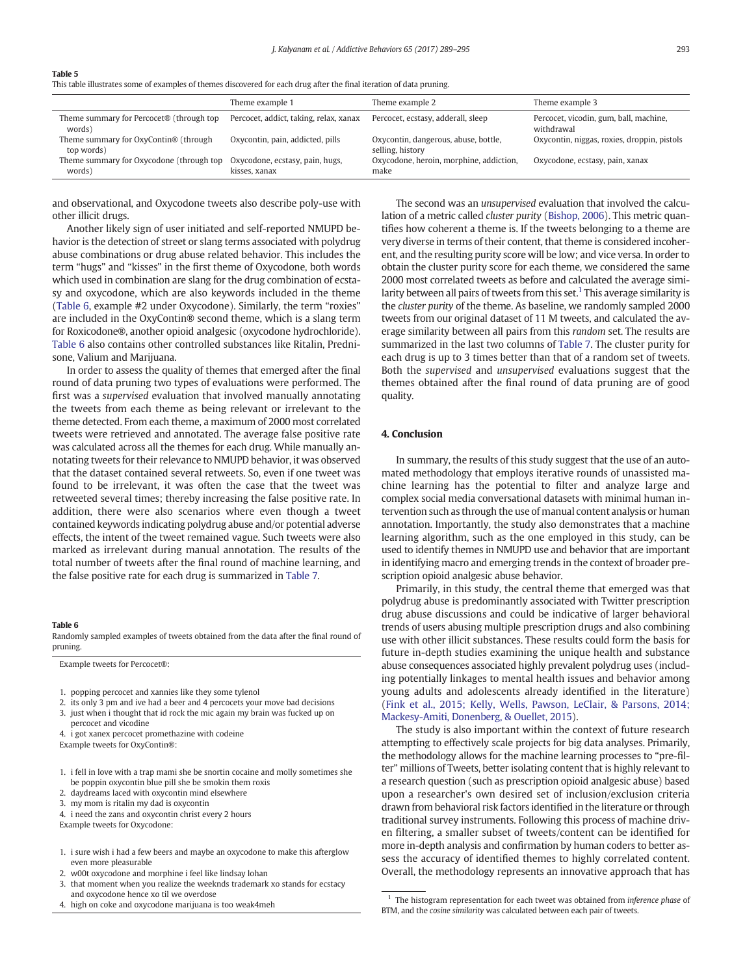<span id="page-4-0"></span>

| This table illustrates some of examples of themes discovered for each drug after the final iteration of data pruning. |  |  |  |  |  |  |  |  |  |  |  |
|-----------------------------------------------------------------------------------------------------------------------|--|--|--|--|--|--|--|--|--|--|--|
|-----------------------------------------------------------------------------------------------------------------------|--|--|--|--|--|--|--|--|--|--|--|

|                                                     | Theme example 1                                  | Theme example 2                                          | Theme example 3                                      |
|-----------------------------------------------------|--------------------------------------------------|----------------------------------------------------------|------------------------------------------------------|
| Theme summary for Percocet® (through top<br>words)  | Percocet, addict, taking, relax, xanax           | Percocet, ecstasy, adderall, sleep                       | Percocet, vicodin, gum, ball, machine,<br>withdrawal |
| Theme summary for OxyContin® (through<br>top words) | Oxycontin, pain, addicted, pills                 | Oxycontin, dangerous, abuse, bottle,<br>selling, history | Oxycontin, niggas, roxies, droppin, pistols          |
| Theme summary for Oxycodone (through top<br>words)  | Oxycodone, ecstasy, pain, hugs,<br>kisses, xanax | Oxycodone, heroin, morphine, addiction,<br>make          | Oxycodone, ecstasy, pain, xanax                      |

and observational, and Oxycodone tweets also describe poly-use with other illicit drugs.

Another likely sign of user initiated and self-reported NMUPD behavior is the detection of street or slang terms associated with polydrug abuse combinations or drug abuse related behavior. This includes the term "hugs" and "kisses" in the first theme of Oxycodone, both words which used in combination are slang for the drug combination of ecstasy and oxycodone, which are also keywords included in the theme (Table 6, example #2 under Oxycodone). Similarly, the term "roxies" are included in the OxyContin® second theme, which is a slang term for Roxicodone®, another opioid analgesic (oxycodone hydrochloride). Table 6 also contains other controlled substances like Ritalin, Prednisone, Valium and Marijuana.

In order to assess the quality of themes that emerged after the final round of data pruning two types of evaluations were performed. The first was a supervised evaluation that involved manually annotating the tweets from each theme as being relevant or irrelevant to the theme detected. From each theme, a maximum of 2000 most correlated tweets were retrieved and annotated. The average false positive rate was calculated across all the themes for each drug. While manually annotating tweets for their relevance to NMUPD behavior, it was observed that the dataset contained several retweets. So, even if one tweet was found to be irrelevant, it was often the case that the tweet was retweeted several times; thereby increasing the false positive rate. In addition, there were also scenarios where even though a tweet contained keywords indicating polydrug abuse and/or potential adverse effects, the intent of the tweet remained vague. Such tweets were also marked as irrelevant during manual annotation. The results of the total number of tweets after the final round of machine learning, and the false positive rate for each drug is summarized in [Table 7](#page-5-0).

#### Table 6

Randomly sampled examples of tweets obtained from the data after the final round of pruning.

Example tweets for Percocet®:

- 1. popping percocet and xannies like they some tylenol
- 2. its only 3 pm and ive had a beer and 4 percocets your move bad decisions 3. just when i thought that id rock the mic again my brain was fucked up on
- percocet and vicodine

4. i got xanex percocet promethazine with codeine

Example tweets for OxyContin®:

- 1. i fell in love with a trap mami she be snortin cocaine and molly sometimes she be poppin oxycontin blue pill she be smokin them roxis
- 2. daydreams laced with oxycontin mind elsewhere
- 3. my mom is ritalin my dad is oxycontin
- 4. i need the zans and oxycontin christ every 2 hours
- Example tweets for Oxycodone:
- 1. i sure wish i had a few beers and maybe an oxycodone to make this afterglow even more pleasurable
- 2. w00t oxycodone and morphine i feel like lindsay lohan
- 3. that moment when you realize the weeknds trademark xo stands for ecstacy and oxycodone hence xo til we overdose
- 4. high on coke and oxycodone marijuana is too weak4meh

The second was an unsupervised evaluation that involved the calculation of a metric called cluster purity [\(Bishop, 2006\)](#page-5-0). This metric quantifies how coherent a theme is. If the tweets belonging to a theme are very diverse in terms of their content, that theme is considered incoherent, and the resulting purity score will be low; and vice versa. In order to obtain the cluster purity score for each theme, we considered the same 2000 most correlated tweets as before and calculated the average similarity between all pairs of tweets from this set.<sup>1</sup> This average similarity is the cluster purity of the theme. As baseline, we randomly sampled 2000 tweets from our original dataset of 11 M tweets, and calculated the average similarity between all pairs from this random set. The results are summarized in the last two columns of [Table 7.](#page-5-0) The cluster purity for each drug is up to 3 times better than that of a random set of tweets. Both the supervised and unsupervised evaluations suggest that the themes obtained after the final round of data pruning are of good quality.

#### 4. Conclusion

In summary, the results of this study suggest that the use of an automated methodology that employs iterative rounds of unassisted machine learning has the potential to filter and analyze large and complex social media conversational datasets with minimal human intervention such as through the use of manual content analysis or human annotation. Importantly, the study also demonstrates that a machine learning algorithm, such as the one employed in this study, can be used to identify themes in NMUPD use and behavior that are important in identifying macro and emerging trends in the context of broader prescription opioid analgesic abuse behavior.

Primarily, in this study, the central theme that emerged was that polydrug abuse is predominantly associated with Twitter prescription drug abuse discussions and could be indicative of larger behavioral trends of users abusing multiple prescription drugs and also combining use with other illicit substances. These results could form the basis for future in-depth studies examining the unique health and substance abuse consequences associated highly prevalent polydrug uses (including potentially linkages to mental health issues and behavior among young adults and adolescents already identified in the literature) [\(Fink et al., 2015; Kelly, Wells, Pawson, LeClair, & Parsons, 2014;](#page-5-0) [Mackesy-Amiti, Donenberg, & Ouellet, 2015\)](#page-5-0).

The study is also important within the context of future research attempting to effectively scale projects for big data analyses. Primarily, the methodology allows for the machine learning processes to "pre-filter" millions of Tweets, better isolating content that is highly relevant to a research question (such as prescription opioid analgesic abuse) based upon a researcher's own desired set of inclusion/exclusion criteria drawn from behavioral risk factors identified in the literature or through traditional survey instruments. Following this process of machine driven filtering, a smaller subset of tweets/content can be identified for more in-depth analysis and confirmation by human coders to better assess the accuracy of identified themes to highly correlated content. Overall, the methodology represents an innovative approach that has

 $1$  The histogram representation for each tweet was obtained from inference phase of BTM, and the cosine similarity was calculated between each pair of tweets.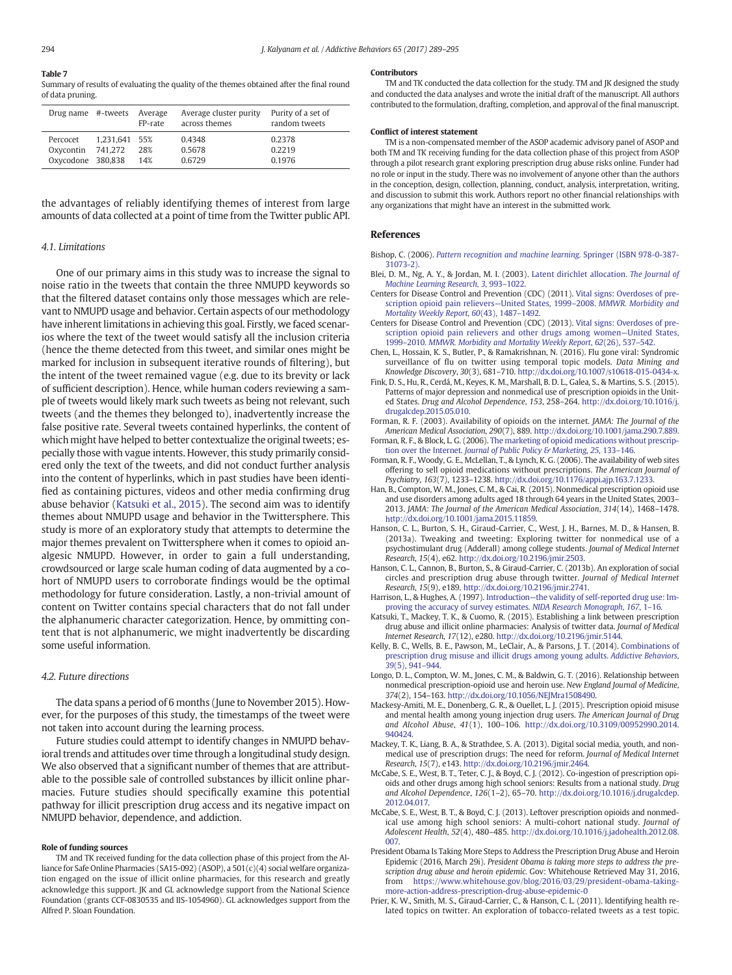<span id="page-5-0"></span>Summary of results of evaluating the quality of the themes obtained after the final round of data pruning.

| Drug name #-tweets                         |                      | Average<br>FP-rate | Average cluster purity<br>across themes | Purity of a set of<br>random tweets |
|--------------------------------------------|----------------------|--------------------|-----------------------------------------|-------------------------------------|
| Percocet<br>Oxycontin<br>Oxycodone 380.838 | 1,231,641<br>741.272 | 55%<br>28%<br>14%  | 0.4348<br>0.5678<br>0.6729              | 0.2378<br>0.2219<br>0.1976          |

the advantages of reliably identifying themes of interest from large amounts of data collected at a point of time from the Twitter public API.

# 4.1. Limitations

One of our primary aims in this study was to increase the signal to noise ratio in the tweets that contain the three NMUPD keywords so that the filtered dataset contains only those messages which are relevant to NMUPD usage and behavior. Certain aspects of our methodology have inherent limitations in achieving this goal. Firstly, we faced scenarios where the text of the tweet would satisfy all the inclusion criteria (hence the theme detected from this tweet, and similar ones might be marked for inclusion in subsequent iterative rounds of filtering), but the intent of the tweet remained vague (e.g. due to its brevity or lack of sufficient description). Hence, while human coders reviewing a sample of tweets would likely mark such tweets as being not relevant, such tweets (and the themes they belonged to), inadvertently increase the false positive rate. Several tweets contained hyperlinks, the content of which might have helped to better contextualize the original tweets; especially those with vague intents. However, this study primarily considered only the text of the tweets, and did not conduct further analysis into the content of hyperlinks, which in past studies have been identified as containing pictures, videos and other media confirming drug abuse behavior (Katsuki et al., 2015). The second aim was to identify themes about NMUPD usage and behavior in the Twittersphere. This study is more of an exploratory study that attempts to determine the major themes prevalent on Twittersphere when it comes to opioid analgesic NMUPD. However, in order to gain a full understanding, crowdsourced or large scale human coding of data augmented by a cohort of NMUPD users to corroborate findings would be the optimal methodology for future consideration. Lastly, a non-trivial amount of content on Twitter contains special characters that do not fall under the alphanumeric character categorization. Hence, by ommitting content that is not alphanumeric, we might inadvertently be discarding some useful information.

# 4.2. Future directions

The data spans a period of 6 months (June to November 2015). However, for the purposes of this study, the timestamps of the tweet were not taken into account during the learning process.

Future studies could attempt to identify changes in NMUPD behavioral trends and attitudes over time through a longitudinal study design. We also observed that a significant number of themes that are attributable to the possible sale of controlled substances by illicit online pharmacies. Future studies should specifically examine this potential pathway for illicit prescription drug access and its negative impact on NMUPD behavior, dependence, and addiction.

#### Role of funding sources

TM and TK received funding for the data collection phase of this project from the Alliance for Safe Online Pharmacies (SA15-092) (ASOP), a 501(c)(4) social welfare organization engaged on the issue of illicit online pharmacies, for this research and greatly acknowledge this support. JK and GL acknowledge support from the National Science Foundation (grants CCF-0830535 and IIS-1054960). GL acknowledges support from the Alfred P. Sloan Foundation.

#### Contributors

TM and TK conducted the data collection for the study. TM and JK designed the study and conducted the data analyses and wrote the initial draft of the manuscript. All authors contributed to the formulation, drafting, completion, and approval of the final manuscript.

#### Conflict of interest statement

TM is a non-compensated member of the ASOP academic advisory panel of ASOP and both TM and TK receiving funding for the data collection phase of this project from ASOP through a pilot research grant exploring prescription drug abuse risks online. Funder had no role or input in the study. There was no involvement of anyone other than the authors in the conception, design, collection, planning, conduct, analysis, interpretation, writing, and discussion to submit this work. Authors report no other financial relationships with any organizations that might have an interest in the submitted work.

#### References

- Bishop, C. (2006). [Pattern recognition and machine learning.](http://refhub.elsevier.com/S0306-4603(16)30299-4/rf0005) Springer (ISBN 978-0-387- [31073-2\).](http://refhub.elsevier.com/S0306-4603(16)30299-4/rf0005)
- Blei, D. M., Ng, A. Y., & Jordan, M. I. (2003). [Latent dirichlet allocation.](http://refhub.elsevier.com/S0306-4603(16)30299-4/rf0010) The Journal of [Machine Learning Research](http://refhub.elsevier.com/S0306-4603(16)30299-4/rf0010), 3, 993–1022.
- Centers for Disease Control and Prevention (CDC) (2011). [Vital signs: Overdoses of pre](http://refhub.elsevier.com/S0306-4603(16)30299-4/rf0015)[scription opioid pain relievers](http://refhub.elsevier.com/S0306-4603(16)30299-4/rf0015)—United States, 1999–2008. MMWR. Morbidity and [Mortality Weekly Report](http://refhub.elsevier.com/S0306-4603(16)30299-4/rf0015), 60(43), 1487–1492.
- Centers for Disease Control and Prevention (CDC) (2013). [Vital signs: Overdoses of pre](http://refhub.elsevier.com/S0306-4603(16)30299-4/rf0020)[scription opioid pain relievers and other drugs among women](http://refhub.elsevier.com/S0306-4603(16)30299-4/rf0020)—United States, 1999–2010. [MMWR. Morbidity and Mortality Weekly Report](http://refhub.elsevier.com/S0306-4603(16)30299-4/rf0020), 62(26), 537–542.
- Chen, L., Hossain, K. S., Butler, P., & Ramakrishnan, N. (2016). Flu gone viral: Syndromic surveillance of flu on twitter using temporal topic models. Data Mining and Knowledge Discovery, 30(3), 681–710. http://dx.doi.org[/10.1007/s10618-015-0434-x](http://dx.doi.org/10.1007/s10618-015-0434-x).
- Fink, D. S., Hu, R., Cerdá, M., Keyes, K. M., Marshall, B. D. L., Galea, S., & Martins, S. S. (2015). Patterns of major depression and nonmedical use of prescription opioids in the United States. Drug and Alcohol Dependence, 153, 258–264. http://dx.doi.org/[10.1016/j.](http://dx.doi.org/10.1016/j.drugalcdep.2015.05.010) [drugalcdep.2015.05.010](http://dx.doi.org/10.1016/j.drugalcdep.2015.05.010).
- Forman, R. F. (2003). Availability of opioids on the internet. JAMA: The Journal of the American Medical Association, 290(7), 889. http://dx.doi.org/[10.1001/jama.290.7.889](http://dx.doi.org/10.1001/jama.290.7.889). Forman, R. F., & Block, L. G. (2006). [The marketing of opioid medications without prescrip-](http://refhub.elsevier.com/S0306-4603(16)30299-4/rf0040)
- tion over the Internet. [Journal of Public Policy & Marketing](http://refhub.elsevier.com/S0306-4603(16)30299-4/rf0040), 25, 133-146.
- Forman, R. F., Woody, G. E., McLellan, T., & Lynch, K. G. (2006). The availability of web sites offering to sell opioid medications without prescriptions. The American Journal of Psychiatry, 163(7), 1233–1238. http://dx.doi.org/[10.1176/appi.ajp.163.7.1233](http://dx.doi.org/10.1176/appi.ajp.163.7.1233).
- Han, B., Compton, W. M., Jones, C. M., & Cai, R. (2015). Nonmedical prescription opioid use and use disorders among adults aged 18 through 64 years in the United States, 2003– 2013. JAMA: The Journal of the American Medical Association, 314(14), 1468–1478. http://dx.doi.org[/10.1001/jama.2015.11859.](http://dx.doi.org/10.1001/jama.2015.11859)
- Hanson, C. L., Burton, S. H., Giraud-Carrier, C., West, J. H., Barnes, M. D., & Hansen, B. (2013a). Tweaking and tweeting: Exploring twitter for nonmedical use of a psychostimulant drug (Adderall) among college students. Journal of Medical Internet Research, 15(4), e62. http://dx.doi.org[/10.2196/jmir.2503.](http://dx.doi.org/10.2196/jmir.2503)
- Hanson, C. L., Cannon, B., Burton, S., & Giraud-Carrier, C. (2013b). An exploration of social circles and prescription drug abuse through twitter. Journal of Medical Internet Research, 15(9), e189. http://dx.doi.org[/10.2196/jmir.2741](http://dx.doi.org/10.2196/jmir.2741).
- Harrison, L., & Hughes, A. (1997). Introduction—[the validity of self-reported drug use: Im](http://refhub.elsevier.com/S0306-4603(16)30299-4/rf0065)[proving the accuracy of survey estimates.](http://refhub.elsevier.com/S0306-4603(16)30299-4/rf0065) NIDA Research Monograph, 167, 1–16.
- Katsuki, T., Mackey, T. K., & Cuomo, R. (2015). Establishing a link between prescription drug abuse and illicit online pharmacies: Analysis of twitter data. Journal of Medical Internet Research, 17(12), e280. http://dx.doi.org[/10.2196/jmir.5144](http://dx.doi.org/10.2196/jmir.5144).
- Kelly, B. C., Wells, B. E., Pawson, M., LeClair, A., & Parsons, J. T. (2014). [Combinations of](http://refhub.elsevier.com/S0306-4603(16)30299-4/rf0080) [prescription drug misuse and illicit drugs among young adults.](http://refhub.elsevier.com/S0306-4603(16)30299-4/rf0080) Addictive Behaviors, 39[\(5\), 941](http://refhub.elsevier.com/S0306-4603(16)30299-4/rf0080)–944.
- Longo, D. L., Compton, W. M., Jones, C. M., & Baldwin, G. T. (2016). Relationship between nonmedical prescription-opioid use and heroin use. New England Journal of Medicine, 374(2), 154–163. http://dx.doi.org[/10.1056/NEJMra1508490](http://dx.doi.org/10.1056/NEJMra1508490).
- Mackesy-Amiti, M. E., Donenberg, G. R., & Ouellet, L. J. (2015). Prescription opioid misuse and mental health among young injection drug users. The American Journal of Drug and Alcohol Abuse, 41(1), 100–106. http://dx.doi.org/[10.3109/00952990.2014.](http://dx.doi.org/10.3109/00952990.2014.940424) [940424](http://dx.doi.org/10.3109/00952990.2014.940424).
- Mackey, T. K., Liang, B. A., & Strathdee, S. A. (2013). Digital social media, youth, and nonmedical use of prescription drugs: The need for reform. Journal of Medical Internet Research, 15(7), e143. http://dx.doi.org[/10.2196/jmir.2464](http://dx.doi.org/10.2196/jmir.2464).
- McCabe, S. E., West, B. T., Teter, C. J., & Boyd, C. J. (2012). Co-ingestion of prescription opioids and other drugs among high school seniors: Results from a national study. Drug and Alcohol Dependence, 126(1–2), 65–70. http://dx.doi.org[/10.1016/j.drugalcdep.](http://dx.doi.org/10.1016/j.drugalcdep.2012.04.017) [2012.04.017](http://dx.doi.org/10.1016/j.drugalcdep.2012.04.017).
- McCabe, S. E., West, B. T., & Boyd, C. J. (2013). Leftover prescription opioids and nonmedical use among high school seniors: A multi-cohort national study. Journal of Adolescent Health, 52(4), 480–485. http://dx.doi.org/[10.1016/j.jadohealth.2012.08.](http://dx.doi.org/10.1016/j.jadohealth.2012.08.007) [007](http://dx.doi.org/10.1016/j.jadohealth.2012.08.007).
- President Obama Is Taking More Steps to Address the Prescription Drug Abuse and Heroin Epidemic (2016, March 29i). President Obama is taking more steps to address the prescription drug abuse and heroin epidemic. Gov: Whitehouse Retrieved May 31, 2016, from [https://www.whitehouse.gov/blog/2016/03/29/president-obama-taking](https://www.whitehouse.gov/blog/2016/03/29/president-obama-taking-more-action-address-prescription-drug-abuse-epidemic-0)[more-action-address-prescription-drug-abuse-epidemic-0](https://www.whitehouse.gov/blog/2016/03/29/president-obama-taking-more-action-address-prescription-drug-abuse-epidemic-0)
- Prier, K. W., Smith, M. S., Giraud-Carrier, C., & Hanson, C. L. (2011). Identifying health related topics on twitter. An exploration of tobacco-related tweets as a test topic.